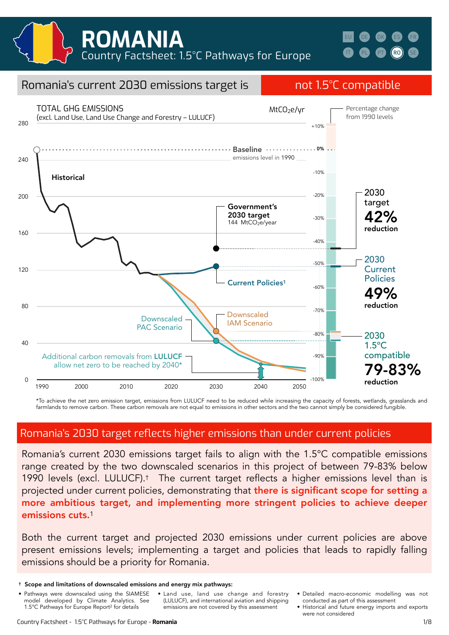

#### $\Omega$ 40 80 120 160  $200$ 240 280 1990 2000 2010 2020 2030 2040 2050 Romania's current 2030 emissions target is not 1.5°C compatible Historical Downscaled Downscaled **New School Community** LAM Scenario PAC Scenario TOTAL GHG EMISSIONS (excl. Land Use, Land Use Change and Forestry – LULUCF) Current Policies1 144 MtCO<sub>2</sub>e/year 2030 **Current Policies** 49% reduction 2030 target 42% reduction 2030 1.5ºC compatible 9-83% reduction MtCO<sub>2</sub>e/yr 1990 2050 Additional carbon removals from LULUCF · allow net zero to be reached by 2040\* Government's 2030 target Baseline **Witch Communist Communist Communist**  $-10%$ -20% -30% -40%  $-.50%$ -60% -70% -80% -90% -100% +10% Percentage change from 1990 levels emissions level in 1990

\*To achieve the net zero emission target, emissions from LULUCF need to be reduced while increasing the capacity of forests, wetlands, grasslands and farmlands to remove carbon. These carbon removals are not equal to emissions in other sectors and the two cannot simply be considered fungible.

### Romania's 2030 target reflects higher emissions than under current policies

Romania's current 2030 emissions target fails to align with the 1.5°C compatible emissions range created by the two downscaled scenarios in this project of between 79-83% below 1990 levels (excl. LULUCF).† The current target reflects a higher emissions level than is projected under current policies, demonstrating that there is significant scope for setting a more ambitious target, and implementing more stringent policies to achieve deeper emissions cuts.<sup>1</sup>

Both the current target and projected 2030 emissions under current policies are above present emissions levels; implementing a target and policies that leads to rapidly falling emissions should be a priority for Romania.

- Pathways were downscaled using the SIAMESE model developed by Climate Analytics. See 1.5°C Pathways for Europe Report2 for details
- Land use, land use change and forestry (LULUCF), and international aviation and shipping emissions are not covered by this assessment
- Detailed macro-economic modelling was not conducted as part of this assessment
- Historical and future energy imports and exports were not considered

<sup>†</sup> Scope and limitations of downscaled emissions and energy mix pathways: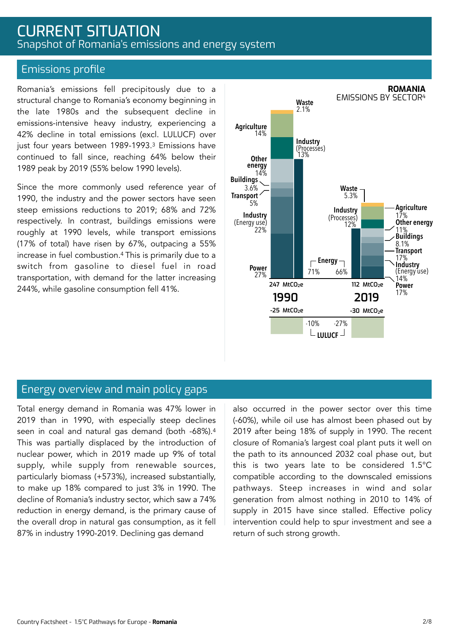# CURRENT SITUATION Snapshot of Romania's emissions and energy system

### Emissions profile

Romania's emissions fell precipitously due to a structural change to Romania's economy beginning in the late 1980s and the subsequent decline in emissions-intensive heavy industry, experiencing a 42% decline in total emissions (excl. LULUCF) over just four years between 1989-1993.<sup>3</sup> Emissions have continued to fall since, reaching 64% below their 1989 peak by 2019 (55% below 1990 levels).

Since the more commonly used reference year of 1990, the industry and the power sectors have seen steep emissions reductions to 2019; 68% and 72% respectively. In contrast, buildings emissions were roughly at 1990 levels, while transport emissions (17% of total) have risen by 67%, outpacing a 55% increase in fuel combustion.4 This is primarily due to a switch from gasoline to diesel fuel in road transportation, with demand for the latter increasing 244%, while gasoline consumption fell 41%.



### Energy overview and main policy gaps

Total energy demand in Romania was 47% lower in 2019 than in 1990, with especially steep declines seen in coal and natural gas demand (both -68%).4 This was partially displaced by the introduction of nuclear power, which in 2019 made up 9% of total supply, while supply from renewable sources, particularly biomass (+573%), increased substantially, to make up 18% compared to just 3% in 1990. The decline of Romania's industry sector, which saw a 74% reduction in energy demand, is the primary cause of the overall drop in natural gas consumption, as it fell 87% in industry 1990-2019. Declining gas demand

also occurred in the power sector over this time (-60%), while oil use has almost been phased out by 2019 after being 18% of supply in 1990. The recent closure of Romania's largest coal plant puts it well on the path to its announced 2032 coal phase out, but this is two years late to be considered 1.5°C compatible according to the downscaled emissions pathways. Steep increases in wind and solar generation from almost nothing in 2010 to 14% of supply in 2015 have since stalled. Effective policy intervention could help to spur investment and see a return of such strong growth.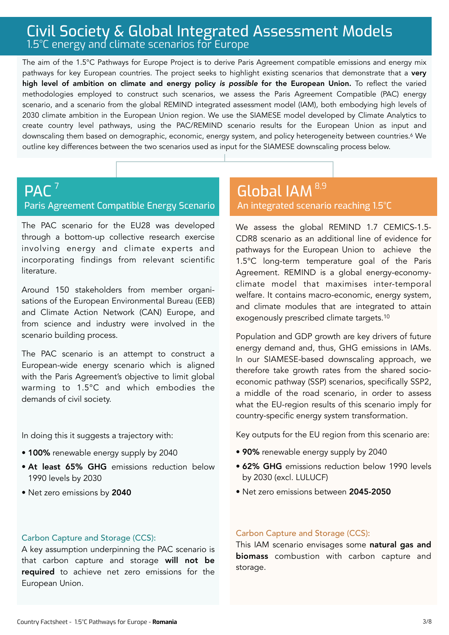# Civil Society & Global Integrated Assessment Models 1.5°C energy and climate scenarios for Europe

The aim of the 1.5°C Pathways for Europe Project is to derive Paris Agreement compatible emissions and energy mix pathways for key European countries. The project seeks to highlight existing scenarios that demonstrate that a very high level of ambition on climate and energy policy *is possible* for the European Union. To reflect the varied methodologies employed to construct such scenarios, we assess the Paris Agreement Compatible (PAC) energy scenario, and a scenario from the global REMIND integrated assessment model (IAM), both embodying high levels of 2030 climate ambition in the European Union region. We use the SIAMESE model developed by Climate Analytics to create country level pathways, using the PAC/REMIND scenario results for the European Union as input and downscaling them based on demographic, economic, energy system, and policy heterogeneity between countries.<sup>6</sup> We outline key differences between the two scenarios used as input for the SIAMESE downscaling process below.

#### PAC<sup>7</sup> Paris Agreement Compatible Energy Scenario  $^{7}$  Global IAM  $^{8,9}$

The PAC scenario for the EU28 was developed through a bottom-up collective research exercise involving energy and climate experts and incorporating findings from relevant scientific literature.

Around 150 stakeholders from member organisations of the European Environmental Bureau (EEB) and Climate Action Network (CAN) Europe, and from science and industry were involved in the scenario building process.

The PAC scenario is an attempt to construct a European-wide energy scenario which is aligned with the Paris Agreement's objective to limit global warming to 1.5°C and which embodies the demands of civil society.

In doing this it suggests a trajectory with:

- 100% renewable energy supply by 2040
- At least 65% GHG emissions reduction below 1990 levels by 2030
- Net zero emissions by 2040

# An integrated scenario reaching 1.5°C

We assess the global REMIND 1.7 CEMICS-1.5- CDR8 scenario as an additional line of evidence for pathways for the European Union to achieve the 1.5°C long-term temperature goal of the Paris Agreement. REMIND is a global energy-economyclimate model that maximises inter-temporal welfare. It contains macro-economic, energy system, and climate modules that are integrated to attain exogenously prescribed climate targets.10

Population and GDP growth are key drivers of future energy demand and, thus, GHG emissions in IAMs. In our SIAMESE-based downscaling approach, we therefore take growth rates from the shared socioeconomic pathway (SSP) scenarios, specifically SSP2, a middle of the road scenario, in order to assess what the EU-region results of this scenario imply for country-specific energy system transformation.

Key outputs for the EU region from this scenario are:

- 90% renewable energy supply by 2040
- 62% GHG emissions reduction below 1990 levels by 2030 (excl. LULUCF)
- Net zero emissions between 2045-2050

### Carbon Capture and Storage (CCS):

A key assumption underpinning the PAC scenario is that carbon capture and storage will not be required to achieve net zero emissions for the European Union.

### Carbon Capture and Storage (CCS):

This IAM scenario envisages some natural gas and biomass combustion with carbon capture and storage.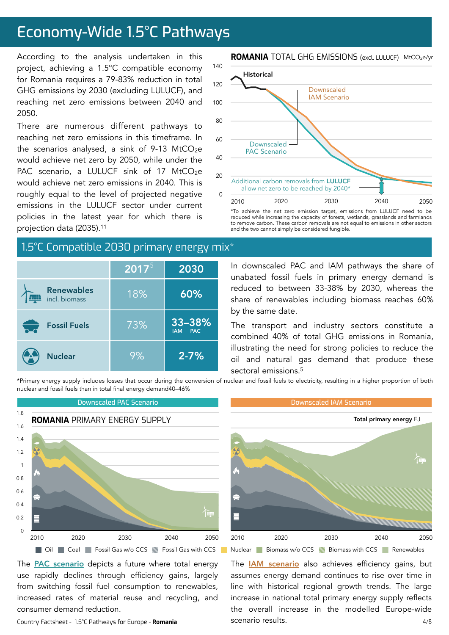# Economy-Wide 1.5°C Pathways

According to the analysis undertaken in this project, achieving a 1.5°C compatible economy for Romania requires a 79-83% reduction in total GHG emissions by 2030 (excluding LULUCF), and reaching net zero emissions between 2040 and 2050.

There are numerous different pathways to reaching net zero emissions in this timeframe. In the scenarios analysed, a sink of 9-13 MtCO<sub>2</sub>e would achieve net zero by 2050, while under the PAC scenario, a LULUCF sink of 17 MtCO<sub>2</sub>e would achieve net zero emissions in 2040. This is roughly equal to the level of projected negative emissions in the LULUCF sector under current policies in the latest year for which there is projection data (2035).11

# 1.5°C Compatible 2030 primary energy mix\*

|                                    | $\overline{2017}^{5}$ | 2030                               |
|------------------------------------|-----------------------|------------------------------------|
| <b>Renewables</b><br>incl. biomass | 18%                   | 60%                                |
| <b>Fossil Fuels</b>                | 73%                   | 33-38%<br><b>PAC</b><br><b>IAM</b> |
| <b>Nuclear</b>                     | 9%                    | $2 - 7%$                           |

### **ROMANIA** TOTAL GHG EMISSIONS (excl. LULUCF) MtCO2e/yr



\*To achieve the net zero emission target, emissions from LULUCF need to be reduced while increasing the capacity of forests, wetlands, grasslands and farmlands to remove carbon. These carbon removals are not equal to emissions in other sectors and the two cannot simply be considered fungible.

In downscaled PAC and IAM pathways the share of unabated fossil fuels in primary energy demand is reduced to between 33-38% by 2030, whereas the share of renewables including biomass reaches 60% by the same date.

The transport and industry sectors constitute a combined 40% of total GHG emissions in Romania, illustrating the need for strong policies to reduce the oil and natural gas demand that produce these sectoral emissions.<sup>5</sup>

\*Primary energy supply includes losses that occur during the conversion of nuclear and fossil fuels to electricity, resulting in a higher proportion of both nuclear and fossil fuels than in total final energy demand40–46%



The **PAC** scenario depicts a future where total energy use rapidly declines through efficiency gains, largely from switching fossil fuel consumption to renewables, increased rates of material reuse and recycling, and consumer demand reduction.

Country Factsheet - 1.5°C Pathways for Europe - **Romania**



4/8 The **[IAM scenario](https://www.pik-potsdam.de/en/institute/departments/transformation-pathways/models/remind/remind16_description_2015_11_30_final#:~:text=REMIND%20is%20a%20global%20energy,inter-temporal%20welfare%20is%20maximized.&text=Macro-economic%20production%20factors%20are,,%20labor,%20and%20final%20energy.)** also achieves efficiency gains, but assumes energy demand continues to rise over time in line with historical regional growth trends. The large increase in national total primary energy supply reflects the overall increase in the modelled Europe-wide scenario results.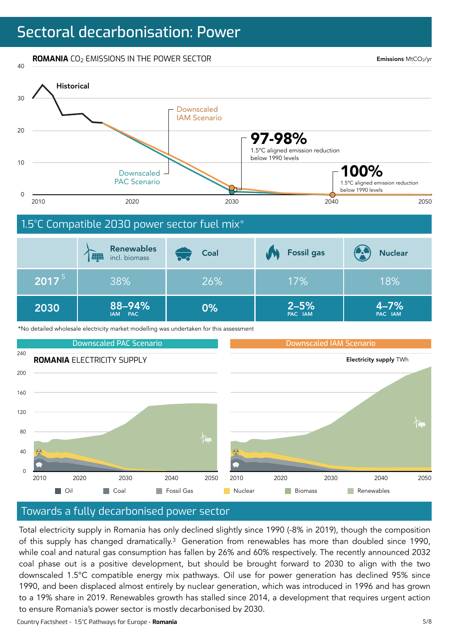**ROMANIA** CO<sub>2</sub> EMISSIONS IN THE POWER SECTOR

Emissions MtCO2/yr



### Towards a fully decarbonised power sector

Total electricity supply in Romania has only declined slightly since 1990 (-8% in 2019), though the composition of this supply has changed dramatically.<sup>3</sup> Generation from renewables has more than doubled since 1990, while coal and natural gas consumption has fallen by 26% and 60% respectively. The recently announced 2032 coal phase out is a positive development, but should be brought forward to 2030 to align with the two downscaled 1.5°C compatible energy mix pathways. Oil use for power generation has declined 95% since 1990, and been displaced almost entirely by nuclear generation, which was introduced in 1996 and has grown to a 19% share in 2019. Renewables growth has stalled since 2014, a development that requires urgent action to ensure Romania's power sector is mostly decarbonised by 2030.

**Nuclear Coal Fossil Gas Renewables** Renewables

Country Factsheet - 1.5°C Pathways for Europe - **Romania**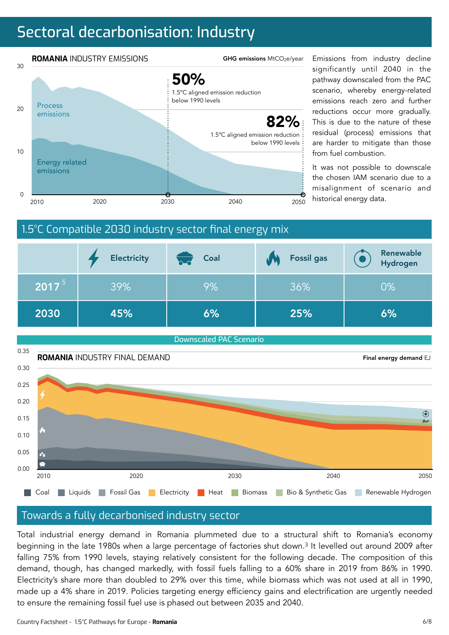# Sectoral decarbonisation: Industry



significantly until 2040 in the pathway downscaled from the PAC scenario, whereby energy-related emissions reach zero and further reductions occur more gradually. This is due to the nature of these residual (process) emissions that are harder to mitigate than those from fuel combustion.

It was not possible to downscale the chosen IAM scenario due to a misalignment of scenario and





### Towards a fully decarbonised industry sector

Total industrial energy demand in Romania plummeted due to a structural shift to Romania's economy beginning in the late 1980s when a large percentage of factories shut down.3 It levelled out around 2009 after falling 75% from 1990 levels, staying relatively consistent for the following decade. The composition of this demand, though, has changed markedly, with fossil fuels falling to a 60% share in 2019 from 86% in 1990. Electricity's share more than doubled to 29% over this time, while biomass which was not used at all in 1990, made up a 4% share in 2019. Policies targeting energy efficiency gains and electrification are urgently needed to ensure the remaining fossil fuel use is phased out between 2035 and 2040.

Country Factsheet - 1.5°C Pathways for Europe - **Romania**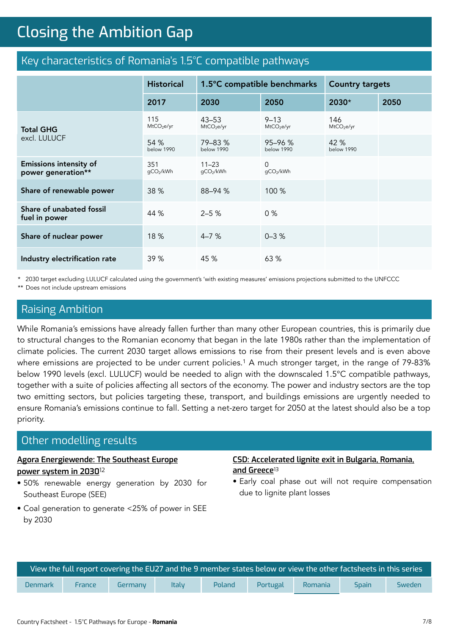# **Closing the Ambition Gap** Closing the Ambition Gap

# Key characteristics of Romania's 1.5°C compatible pathways

|                                                     | <b>Historical</b>             | 1.5°C compatible benchmarks         |                                    | <b>Country targets</b>        |      |
|-----------------------------------------------------|-------------------------------|-------------------------------------|------------------------------------|-------------------------------|------|
|                                                     | 2017                          | 2030                                | 2050                               | 2030*                         | 2050 |
| <b>Total GHG</b><br>excl. LULUCF                    | 115<br>MtCO <sub>2</sub> e/yr | $43 - 53$<br>MtCO <sub>2</sub> e/yr | $9 - 13$<br>MtCO <sub>2</sub> e/yr | 146<br>MtCO <sub>2</sub> e/yr |      |
|                                                     | 54 %<br>below 1990            | 79-83 %<br>below 1990               | $95 - 96 %$<br>below 1990          | 42 %<br>below 1990            |      |
| <b>Emissions intensity of</b><br>power generation** | 351<br>gCO2/kWh               | $11 - 23$<br>gCO2/kWh               | $\Omega$<br>gCO2/kWh               |                               |      |
| Share of renewable power                            | 38 %                          | 88-94 %                             | 100 %                              |                               |      |
| Share of unabated fossil<br>fuel in power           | 44 %                          | $2 - 5%$                            | 0%                                 |                               |      |
| Share of nuclear power                              | 18 %                          | $4 - 7%$                            | $0 - 3$ %                          |                               |      |
| Industry electrification rate                       | 39 %                          | 45 %                                | 63 %                               |                               |      |

\* 2030 target excluding LULUCF calculated using the government's 'with existing measures' emissions projections submitted to the UNFCCC \*\* Does not include upstream emissions

# Raising Ambition

While Romania's emissions have already fallen further than many other European countries, this is primarily due to structural changes to the Romanian economy that began in the late 1980s rather than the implementation of climate policies. The current 2030 target allows emissions to rise from their present levels and is even above where emissions are projected to be under current policies.<sup>1</sup> A much stronger target, in the range of 79-83% below 1990 levels (excl. LULUCF) would be needed to align with the downscaled 1.5°C compatible pathways, together with a suite of policies affecting all sectors of the economy. The power and industry sectors are the top two emitting sectors, but policies targeting these, transport, and buildings emissions are urgently needed to ensure Romania's emissions continue to fall. Setting a net-zero target for 2050 at the latest should also be a top priority.

### Other modelling results

### **[Agora Energiewende: The Southeast Europe](https://www.agora-energiewende.de/en/publications/the-southeast-european-power-system-in-2030/)  [power system in 2030](https://www.agora-energiewende.de/en/publications/the-southeast-european-power-system-in-2030/)**<sup>12</sup>

• 50% renewable energy generation by 2030 for Southeast Europe (SEE)

### • Coal generation to generate <25% of power in SEE by 2030

### **[CSD: Accelerated lignite exit in Bulgaria, Romania,](https://csd.bg/publications/publication/accelerated-lignite-exit-in-bulgaria-romania-and-greece/)  [and Greece](https://csd.bg/publications/publication/accelerated-lignite-exit-in-bulgaria-romania-and-greece/)**<sup>13</sup>

• Early coal phase out will not require compensation due to lignite plant losses

| View the full report covering the EU27 and the 9 member states below or view the other factsheets in this series |               |         |              |        |          |         |              |        |
|------------------------------------------------------------------------------------------------------------------|---------------|---------|--------------|--------|----------|---------|--------------|--------|
| <b>Denmark</b>                                                                                                   | <b>France</b> | Germany | <b>Italy</b> | Poland | Portugal | Romania | <b>Spain</b> | Sweden |